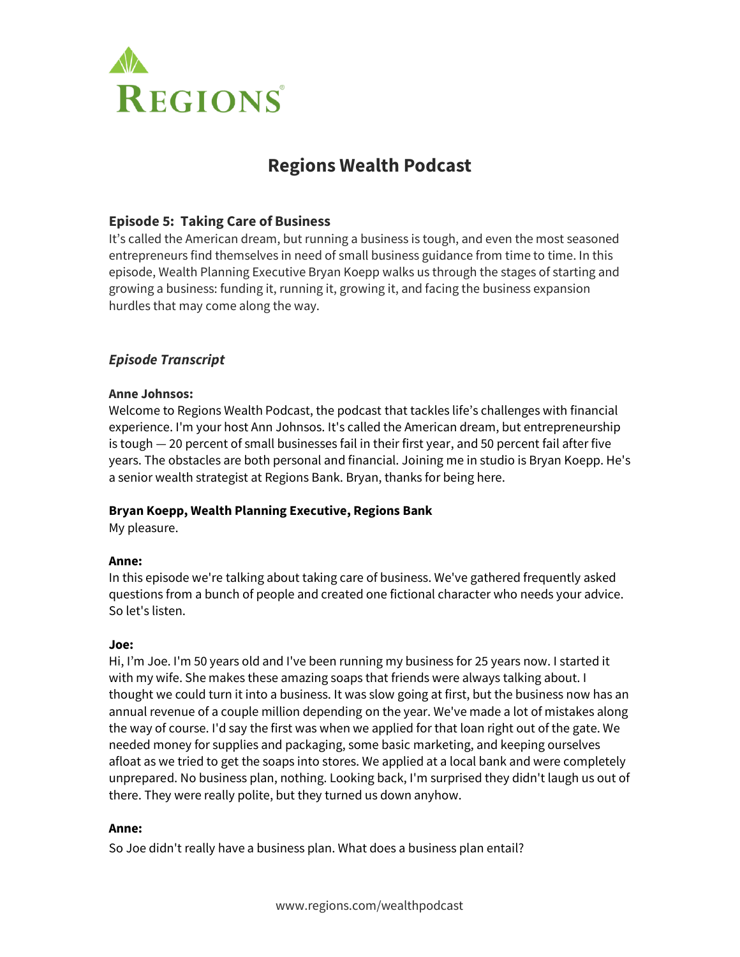

# **Regions Wealth Podcast**

# **Episode 5: Taking Care of Business**

It's called the American dream, but running a business is tough, and even the most seasoned entrepreneurs find themselves in need of small business guidance from time to time. In this episode, Wealth Planning Executive Bryan Koepp walks us through the stages of starting and growing a business: funding it, running it, growing it, and facing the business expansion hurdles that may come along the way.

# *Episode Transcript*

#### **Anne Johnsos:**

Welcome to Regions Wealth Podcast, the podcast that tackles life's challenges with financial experience. I'm your host Ann Johnsos. It's called the American dream, but entrepreneurship is tough — 20 percent of small businesses fail in their first year, and 50 percent fail after five years. The obstacles are both personal and financial. Joining me in studio is Bryan Koepp. He's a senior wealth strategist at Regions Bank. Bryan, thanks for being here.

## **Bryan Koepp, Wealth Planning Executive, Regions Bank**

My pleasure.

#### **Anne:**

In this episode we're talking about taking care of business. We've gathered frequently asked questions from a bunch of people and created one fictional character who needs your advice. So let's listen.

#### **Joe:**

Hi, I'm Joe. I'm 50 years old and I've been running my business for 25 years now. I started it with my wife. She makes these amazing soaps that friends were always talking about. I thought we could turn it into a business. It was slow going at first, but the business now has an annual revenue of a couple million depending on the year. We've made a lot of mistakes along the way of course. I'd say the first was when we applied for that loan right out of the gate. We needed money for supplies and packaging, some basic marketing, and keeping ourselves afloat as we tried to get the soaps into stores. We applied at a local bank and were completely unprepared. No business plan, nothing. Looking back, I'm surprised they didn't laugh us out of there. They were really polite, but they turned us down anyhow.

#### **Anne:**

So Joe didn't really have a business plan. What does a business plan entail?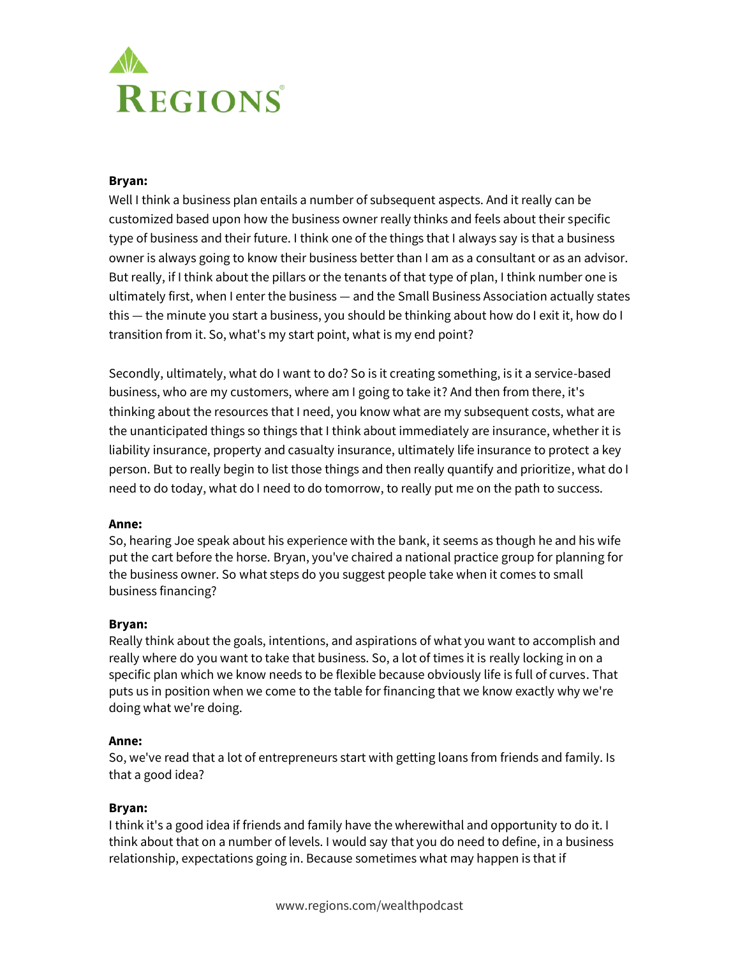

#### **Bryan:**

Well I think a business plan entails a number of subsequent aspects. And it really can be customized based upon how the business owner really thinks and feels about their specific type of business and their future. I think one of the things that I always say is that a business owner is always going to know their business better than I am as a consultant or as an advisor. But really, if I think about the pillars or the tenants of that type of plan, I think number one is ultimately first, when I enter the business — and the Small Business Association actually states this — the minute you start a business, you should be thinking about how do I exit it, how do I transition from it. So, what's my start point, what is my end point?

Secondly, ultimately, what do I want to do? So is it creating something, is it a service-based business, who are my customers, where am I going to take it? And then from there, it's thinking about the resources that I need, you know what are my subsequent costs, what are the unanticipated things so things that I think about immediately are insurance, whether it is liability insurance, property and casualty insurance, ultimately life insurance to protect a key person. But to really begin to list those things and then really quantify and prioritize, what do I need to do today, what do I need to do tomorrow, to really put me on the path to success.

#### **Anne:**

So, hearing Joe speak about his experience with the bank, it seems as though he and his wife put the cart before the horse. Bryan, you've chaired a national practice group for planning for the business owner. So what steps do you suggest people take when it comes to small business financing?

#### **Bryan:**

Really think about the goals, intentions, and aspirations of what you want to accomplish and really where do you want to take that business. So, a lot of times it is really locking in on a specific plan which we know needs to be flexible because obviously life is full of curves. That puts us in position when we come to the table for financing that we know exactly why we're doing what we're doing.

#### **Anne:**

So, we've read that a lot of entrepreneurs start with getting loans from friends and family. Is that a good idea?

#### **Bryan:**

I think it's a good idea if friends and family have the wherewithal and opportunity to do it. I think about that on a number of levels. I would say that you do need to define, in a business relationship, expectations going in. Because sometimes what may happen is that if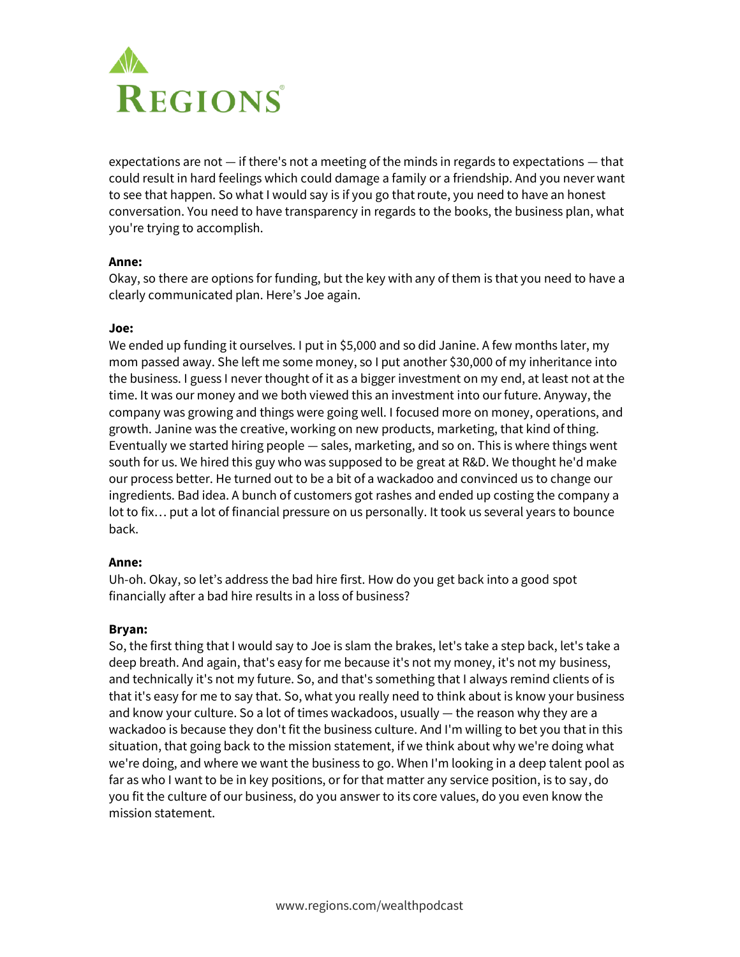

expectations are not  $-$  if there's not a meeting of the minds in regards to expectations  $-$  that could result in hard feelings which could damage a family or a friendship. And you never want to see that happen. So what I would say is if you go that route, you need to have an honest conversation. You need to have transparency in regards to the books, the business plan, what you're trying to accomplish.

#### **Anne:**

Okay, so there are options for funding, but the key with any of them is that you need to have a clearly communicated plan. Here's Joe again.

#### **Joe:**

We ended up funding it ourselves. I put in \$5,000 and so did Janine. A few months later, my mom passed away. She left me some money, so I put another \$30,000 of my inheritance into the business. I guess I never thought of it as a bigger investment on my end, at least not at the time. It was our money and we both viewed this an investment into our future. Anyway, the company was growing and things were going well. I focused more on money, operations, and growth. Janine was the creative, working on new products, marketing, that kind of thing. Eventually we started hiring people — sales, marketing, and so on. This is where things went south for us. We hired this guy who was supposed to be great at R&D. We thought he'd make our process better. He turned out to be a bit of a wackadoo and convinced us to change our ingredients. Bad idea. A bunch of customers got rashes and ended up costing the company a lot to fix… put a lot of financial pressure on us personally. It took us several years to bounce back.

#### **Anne:**

Uh-oh. Okay, so let's address the bad hire first. How do you get back into a good spot financially after a bad hire results in a loss of business?

#### **Bryan:**

So, the first thing that I would say to Joe is slam the brakes, let's take a step back, let's take a deep breath. And again, that's easy for me because it's not my money, it's not my business, and technically it's not my future. So, and that's something that I always remind clients of is that it's easy for me to say that. So, what you really need to think about is know your business and know your culture. So a lot of times wackadoos, usually  $-$  the reason why they are a wackadoo is because they don't fit the business culture. And I'm willing to bet you that in this situation, that going back to the mission statement, if we think about why we're doing what we're doing, and where we want the business to go. When I'm looking in a deep talent pool as far as who I want to be in key positions, or for that matter any service position, is to say, do you fit the culture of our business, do you answer to its core values, do you even know the mission statement.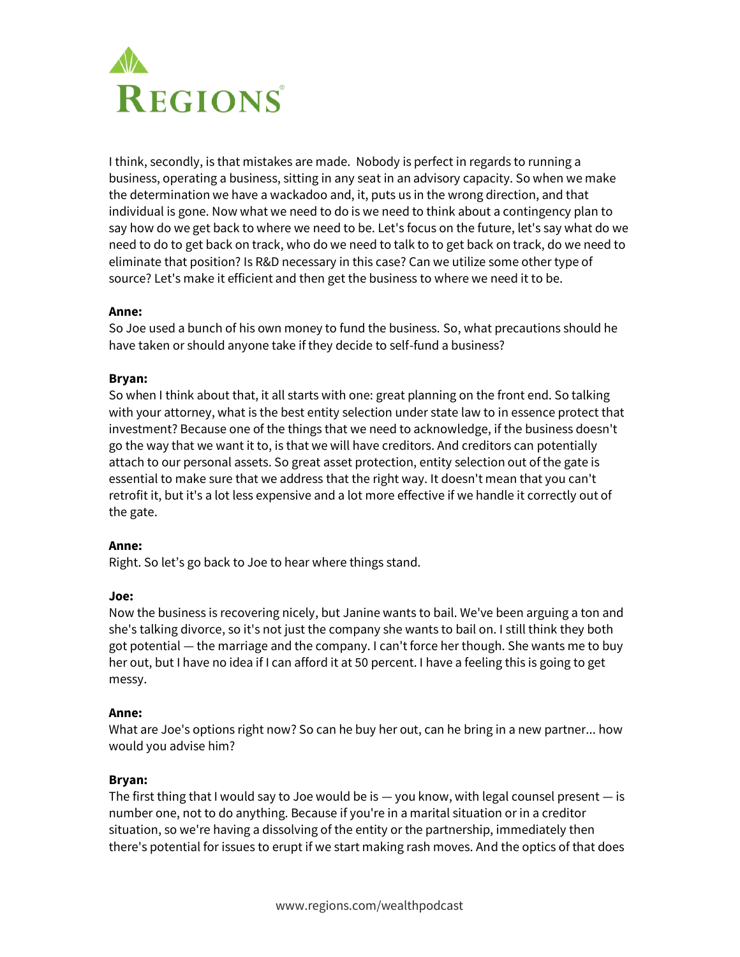

I think, secondly, is that mistakes are made. Nobody is perfect in regards to running a business, operating a business, sitting in any seat in an advisory capacity. So when we make the determination we have a wackadoo and, it, puts us in the wrong direction, and that individual is gone. Now what we need to do is we need to think about a contingency plan to say how do we get back to where we need to be. Let's focus on the future, let's say what do we need to do to get back on track, who do we need to talk to to get back on track, do we need to eliminate that position? Is R&D necessary in this case? Can we utilize some other type of source? Let's make it efficient and then get the business to where we need it to be.

#### **Anne:**

So Joe used a bunch of his own money to fund the business. So, what precautions should he have taken or should anyone take if they decide to self-fund a business?

## **Bryan:**

So when I think about that, it all starts with one: great planning on the front end. So talking with your attorney, what is the best entity selection under state law to in essence protect that investment? Because one of the things that we need to acknowledge, if the business doesn't go the way that we want it to, is that we will have creditors. And creditors can potentially attach to our personal assets. So great asset protection, entity selection out of the gate is essential to make sure that we address that the right way. It doesn't mean that you can't retrofit it, but it's a lot less expensive and a lot more effective if we handle it correctly out of the gate.

#### **Anne:**

Right. So let's go back to Joe to hear where things stand.

#### **Joe:**

Now the business is recovering nicely, but Janine wants to bail. We've been arguing a ton and she's talking divorce, so it's not just the company she wants to bail on. I still think they both got potential — the marriage and the company. I can't force her though. She wants me to buy her out, but I have no idea if I can afford it at 50 percent. I have a feeling this is going to get messy.

#### **Anne:**

What are Joe's options right now? So can he buy her out, can he bring in a new partner... how would you advise him?

#### **Bryan:**

The first thing that I would say to Joe would be is  $-$  you know, with legal counsel present  $-$  is number one, not to do anything. Because if you're in a marital situation or in a creditor situation, so we're having a dissolving of the entity or the partnership, immediately then there's potential for issues to erupt if we start making rash moves. And the optics of that does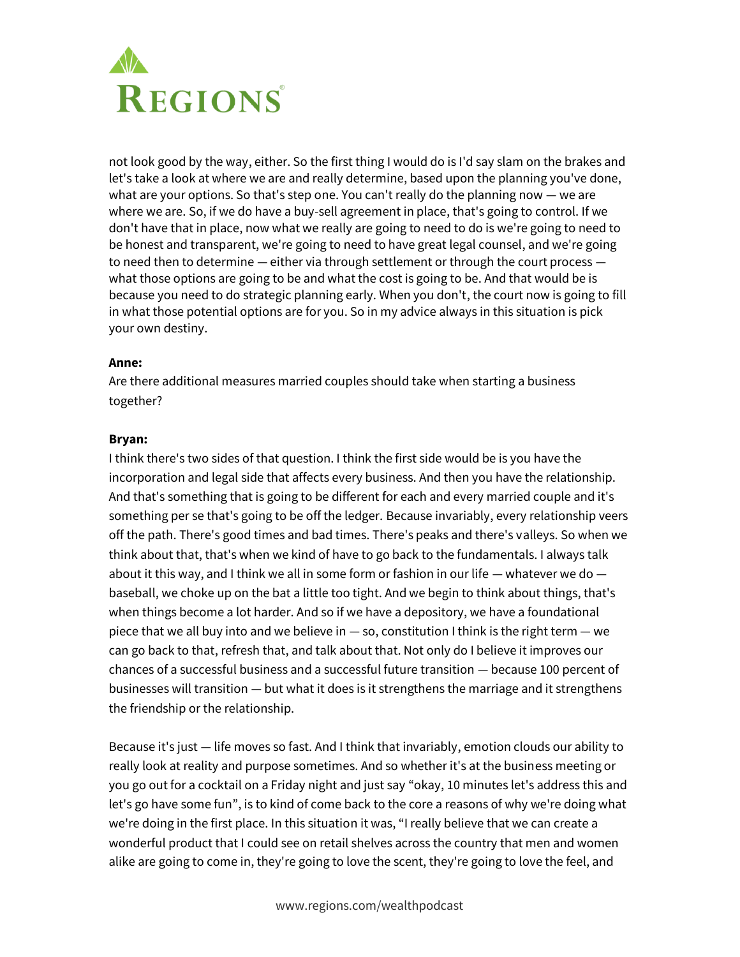

not look good by the way, either. So the first thing I would do is I'd say slam on the brakes and let's take a look at where we are and really determine, based upon the planning you've done, what are your options. So that's step one. You can't really do the planning now — we are where we are. So, if we do have a buy-sell agreement in place, that's going to control. If we don't have that in place, now what we really are going to need to do is we're going to need to be honest and transparent, we're going to need to have great legal counsel, and we're going to need then to determine — either via through settlement or through the court process what those options are going to be and what the cost is going to be. And that would be is because you need to do strategic planning early. When you don't, the court now is going to fill in what those potential options are for you. So in my advice always in this situation is pick your own destiny.

#### **Anne:**

Are there additional measures married couples should take when starting a business together?

## **Bryan:**

I think there's two sides of that question. I think the first side would be is you have the incorporation and legal side that affects every business. And then you have the relationship. And that's something that is going to be different for each and every married couple and it's something per se that's going to be off the ledger. Because invariably, every relationship veers off the path. There's good times and bad times. There's peaks and there's valleys. So when we think about that, that's when we kind of have to go back to the fundamentals. I always talk about it this way, and I think we all in some form or fashion in our life  $-$  whatever we do  $$ baseball, we choke up on the bat a little too tight. And we begin to think about things, that's when things become a lot harder. And so if we have a depository, we have a foundational piece that we all buy into and we believe in — so, constitution I think is the right term — we can go back to that, refresh that, and talk about that. Not only do I believe it improves our chances of a successful business and a successful future transition — because 100 percent of businesses will transition — but what it does is it strengthens the marriage and it strengthens the friendship or the relationship.

Because it's just — life moves so fast. And I think that invariably, emotion clouds our ability to really look at reality and purpose sometimes. And so whether it's at the business meeting or you go out for a cocktail on a Friday night and just say "okay, 10 minutes let's address this and let's go have some fun", is to kind of come back to the core a reasons of why we're doing what we're doing in the first place. In this situation it was, "I really believe that we can create a wonderful product that I could see on retail shelves across the country that men and women alike are going to come in, they're going to love the scent, they're going to love the feel, and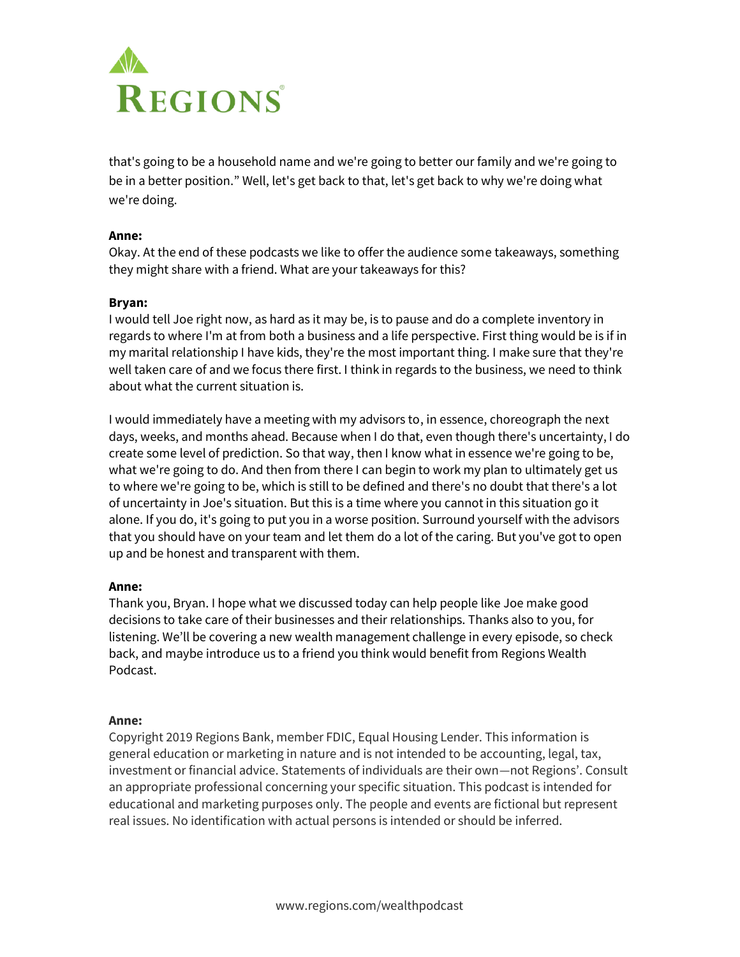

that's going to be a household name and we're going to better our family and we're going to be in a better position." Well, let's get back to that, let's get back to why we're doing what we're doing.

### **Anne:**

Okay. At the end of these podcasts we like to offer the audience some takeaways, something they might share with a friend. What are your takeaways for this?

#### **Bryan:**

I would tell Joe right now, as hard as it may be, is to pause and do a complete inventory in regards to where I'm at from both a business and a life perspective. First thing would be is if in my marital relationship I have kids, they're the most important thing. I make sure that they're well taken care of and we focus there first. I think in regards to the business, we need to think about what the current situation is.

I would immediately have a meeting with my advisors to, in essence, choreograph the next days, weeks, and months ahead. Because when I do that, even though there's uncertainty, I do create some level of prediction. So that way, then I know what in essence we're going to be, what we're going to do. And then from there I can begin to work my plan to ultimately get us to where we're going to be, which is still to be defined and there's no doubt that there's a lot of uncertainty in Joe's situation. But this is a time where you cannot in this situation go it alone. If you do, it's going to put you in a worse position. Surround yourself with the advisors that you should have on your team and let them do a lot of the caring. But you've got to open up and be honest and transparent with them.

#### **Anne:**

Thank you, Bryan. I hope what we discussed today can help people like Joe make good decisions to take care of their businesses and their relationships. Thanks also to you, for listening. We'll be covering a new wealth management challenge in every episode, so check back, and maybe introduce us to a friend you think would benefit from Regions Wealth Podcast.

#### **Anne:**

Copyright 2019 Regions Bank, member FDIC, Equal Housing Lender. This information is general education or marketing in nature and is not intended to be accounting, legal, tax, investment or financial advice. Statements of individuals are their own—not Regions'. Consult an appropriate professional concerning your specific situation. This podcast is intended for educational and marketing purposes only. The people and events are fictional but represent real issues. No identification with actual persons is intended or should be inferred.